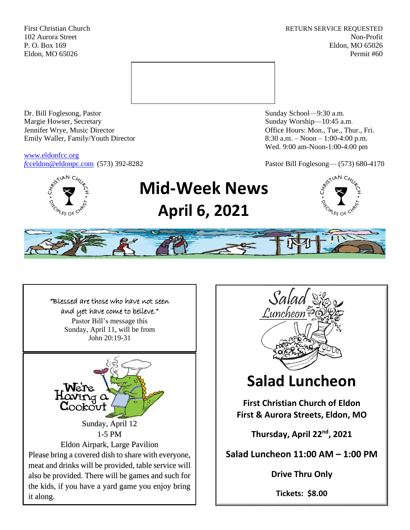First Christian Church **RETURN SERVICE REQUESTED** 102 Aurora Street Non-Profit P. O. Box 169 Eldon, MO 65026 Eldon, MO 65026 Permit #60



Dr. Bill Foglesong, Pastor Sunday School—9:30 a.m. Margie Howser, Secretary Sunday Worship—10:45 a.m. Jennifer Wrye, Music Director Office Hours: Mon., Tue., Thur., Fri. Emily Waller, Family/Youth Director 8:30 a.m. – Noon – 1:00-4:00 p.m.

[www.eldonfcc.org](http://www.eldonfcc.org/)

Wed. 9:00 am-Noon-1:00-4:00 pm

*f*[cceldon@eldonpc.com](mailto:fcceldon@eldonpc.com) (573) 392-8282 Pastor Bill Foglesong— (573) 680-4170



# **Mid-Week News April 6, 2021**